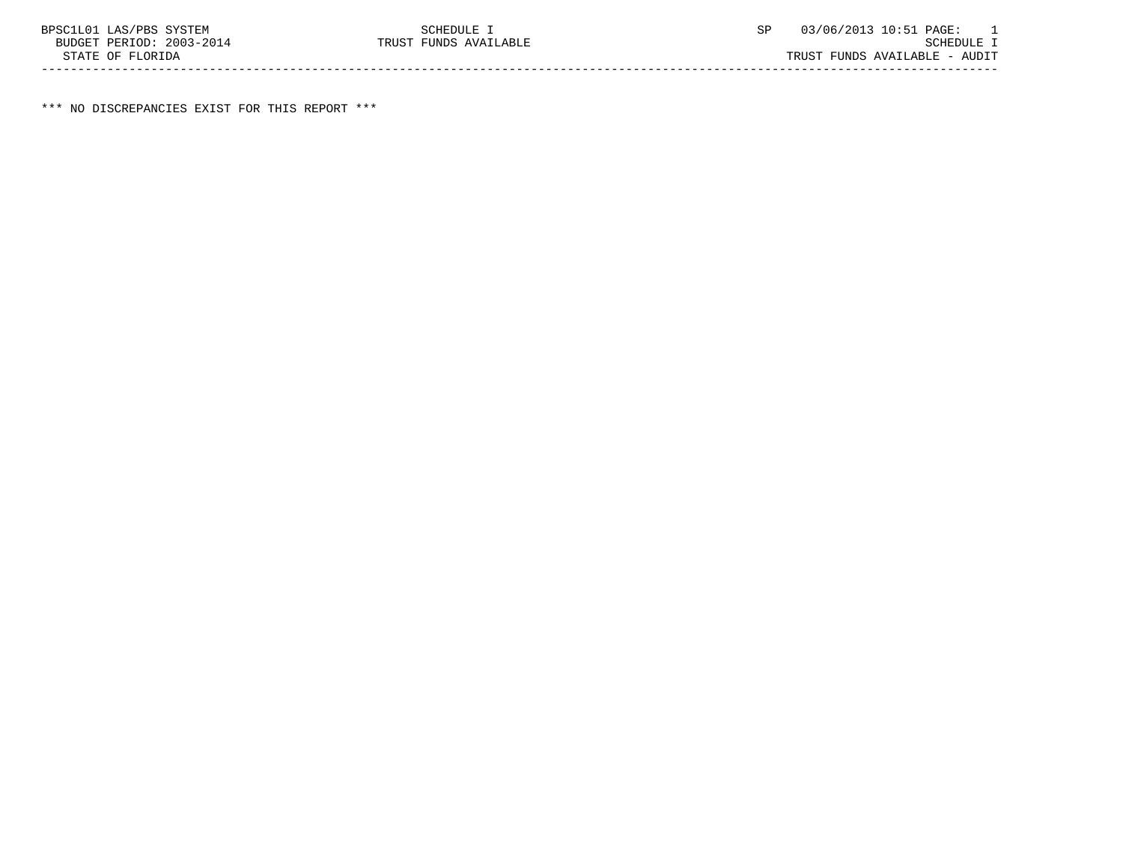\*\*\* NO DISCREPANCIES EXIST FOR THIS REPORT \*\*\*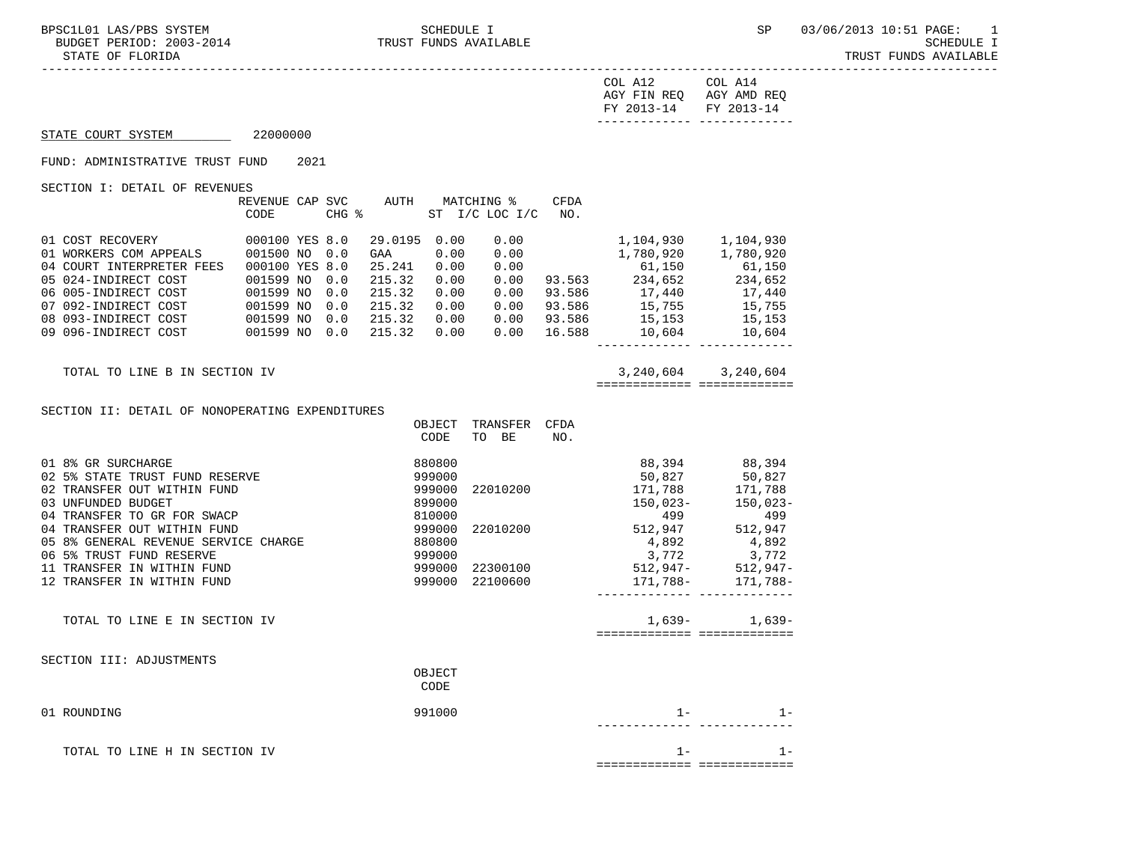-----------------------------------------------------------------------------------------------------------------------------------

| COL A12               | COL A14                 |
|-----------------------|-------------------------|
|                       | AGY FIN REQ AGY AMD REQ |
| FY 2013-14 FY 2013-14 |                         |
|                       |                         |

# STATE COURT SYSTEM 22000000

### FUND: ADMINISTRATIVE TRUST FUND 2021

SECTION I: DETAIL OF REVENUES

|                           | REVENUE CAP    | <b>SVC</b> | <b>AUTH</b> |      | MATCHING %      | <b>CFDA</b> |           |           |
|---------------------------|----------------|------------|-------------|------|-----------------|-------------|-----------|-----------|
|                           | CODE           | CHG %      |             | ST   | $I/C$ LOC $I/C$ | NO.         |           |           |
|                           |                |            |             |      |                 |             |           |           |
| 01 COST RECOVERY          | 000100 YES 8.0 |            | 29.0195     | 0.00 | 0.00            |             | 1,104,930 | 1,104,930 |
| 01 WORKERS COM APPEALS    | 001500 NO      | 0.0        | GAA         | 0.00 | 0.00            |             | 1,780,920 | 1,780,920 |
| 04 COURT INTERPRETER FEES | 000100 YES 8.0 |            | 25.241      | 0.00 | 0.00            |             | 61,150    | 61,150    |
| 05 024-INDIRECT COST      | 001599 NO      | 0.0        | 215.32      | 0.00 | 0.00            | 93.563      | 234,652   | 234,652   |
| 06 005-INDIRECT COST      | 001599 NO      | 0.0        | 215.32      | 0.00 | 0.00            | 93.586      | 17,440    | 17,440    |
| 07 092-INDIRECT COST      | 001599 NO      | 0.0        | 215.32      | 0.00 | 0.00            | 93.586      | 15,755    | 15,755    |
| 08 093-INDIRECT COST      | 001599 NO      | 0.0        | 215.32      | 0.00 | 0.00            | 93.586      | 15,153    | 15,153    |
| 09 096-INDIRECT COST      | 001599 NO      | 0.0        | 215.32      | 0.00 | 0.00            | 16.588      | 10,604    | 10,604    |
|                           |                |            |             |      |                 |             |           |           |

TOTAL TO LINE B IN SECTION IV 3, 240, 604 3, 240, 604

============= =============

### SECTION II: DETAIL OF NONOPERATING EXPENDITURES

|                                            | OBJECT<br>CODE | TRANSFER<br>BE<br>TO | <b>CFDA</b><br>NO. |            |            |
|--------------------------------------------|----------------|----------------------|--------------------|------------|------------|
| 01 8% GR SURCHARGE                         | 880800         |                      |                    | 88,394     | 88,394     |
| 02 5% STATE TRUST FUND RESERVE             | 999000         |                      |                    | 50,827     | 50,827     |
| TRANSFER OUT WITHIN FUND<br>02             | 999000         | 22010200             |                    | 171,788    | 171,788    |
| 03 UNFUNDED BUDGET                         | 899000         |                      |                    | $150,023-$ | $150,023-$ |
| 04 TRANSFER TO GR FOR SWACP                | 810000         |                      |                    | 499        | 499        |
| 04 TRANSFER OUT WITHIN FUND                | 999000         | 22010200             |                    | 512,947    | 512,947    |
| 05 8% GENERAL REVENUE SERVICE CHARGE       | 880800         |                      |                    | 4,892      | 4,892      |
| 06 5% TRUST FUND RESERVE                   | 999000         |                      |                    | 3,772      | 3,772      |
| TRANSFER IN WITHIN FUND<br>11              | 999000         | 22300100             |                    | 512,947-   | $512,947-$ |
| TRANSFER IN WITHIN FUND<br>12 <sub>2</sub> | 999000         | 22100600             |                    | 171,788-   | 171,788-   |
| TOTAL TO LINE E IN SECTION IV              |                |                      |                    | 1,639-     | 1,639-     |
|                                            |                |                      |                    |            | - ======== |
| SECTION III: ADJUSTMENTS                   |                |                      |                    |            |            |
|                                            | OBJECT<br>CODE |                      |                    |            |            |
| 01 ROUNDING                                | 991000         |                      |                    | $1 -$      | $1 -$      |
|                                            |                |                      |                    |            |            |
| TOTAL TO LINE H IN SECTION IV              |                |                      |                    | $1 -$      | $1 -$      |

============= =============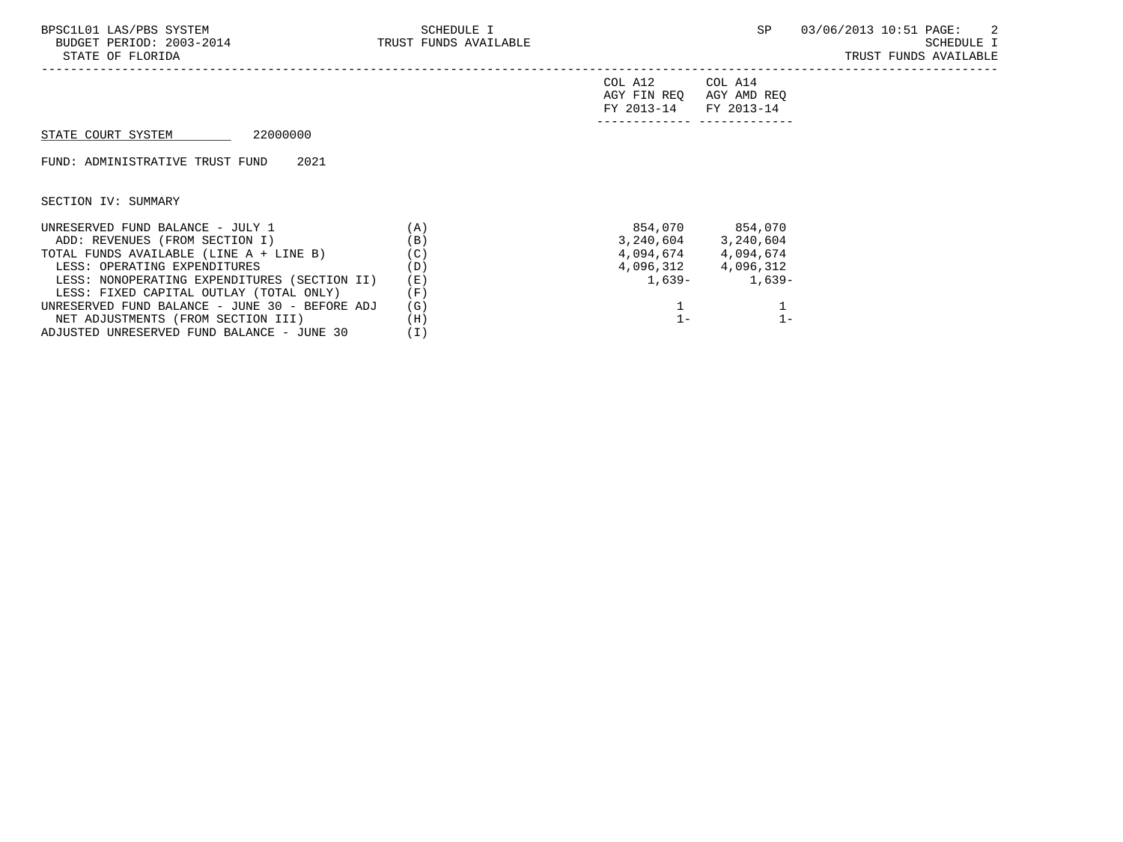| BPSC1L01 LAS/PBS SYSTEM<br>BUDGET PERIOD: 2003-2014<br>STATE OF FLORIDA | SCHEDULE I<br>TRUST FUNDS AVAILABLE |                                      | SP                                   | 03/06/2013 10:51 PAGE: 2<br>SCHEDULE I<br>TRUST FUNDS AVAILABLE |
|-------------------------------------------------------------------------|-------------------------------------|--------------------------------------|--------------------------------------|-----------------------------------------------------------------|
|                                                                         |                                     | COL A12<br>AGY FIN REQ<br>FY 2013-14 | COL A14<br>AGY AMD REQ<br>FY 2013-14 |                                                                 |
| 22000000<br>STATE COURT SYSTEM                                          |                                     |                                      |                                      |                                                                 |
| FUND: ADMINISTRATIVE TRUST FUND<br>2021                                 |                                     |                                      |                                      |                                                                 |
| SECTION IV: SUMMARY                                                     |                                     |                                      |                                      |                                                                 |
| UNRESERVED FUND BALANCE - JULY 1                                        | (A)                                 |                                      | 854,070 854,070                      |                                                                 |
| ADD: REVENUES (FROM SECTION I)                                          | (B)                                 |                                      | 3, 240, 604 3, 240, 604              |                                                                 |
| TOTAL FUNDS AVAILABLE (LINE A + LINE B)                                 | (C)                                 |                                      | 4,094,674 4,094,674                  |                                                                 |
| LESS: OPERATING EXPENDITURES                                            | (D)                                 |                                      | 4,096,312 4,096,312                  |                                                                 |
| LESS: NONOPERATING EXPENDITURES (SECTION II)                            | (E)                                 | 1,639-                               | $1,639-$                             |                                                                 |
| LESS: FIXED CAPITAL OUTLAY (TOTAL ONLY)                                 | (F)                                 |                                      |                                      |                                                                 |
| UNRESERVED FUND BALANCE - JUNE 30 - BEFORE ADJ                          | (G)                                 |                                      |                                      |                                                                 |
| NET ADJUSTMENTS (FROM SECTION III)                                      | (H)                                 | $1 -$                                | $1 -$                                |                                                                 |

NET ADJUSTMENTS (FROM SECTION III) (H)<br>DJUSTED UNRESERVED FUND BALANCE - JUNE 30 (I)

ADJUSTED UNRESERVED FUND BALANCE - JUNE 30 (I)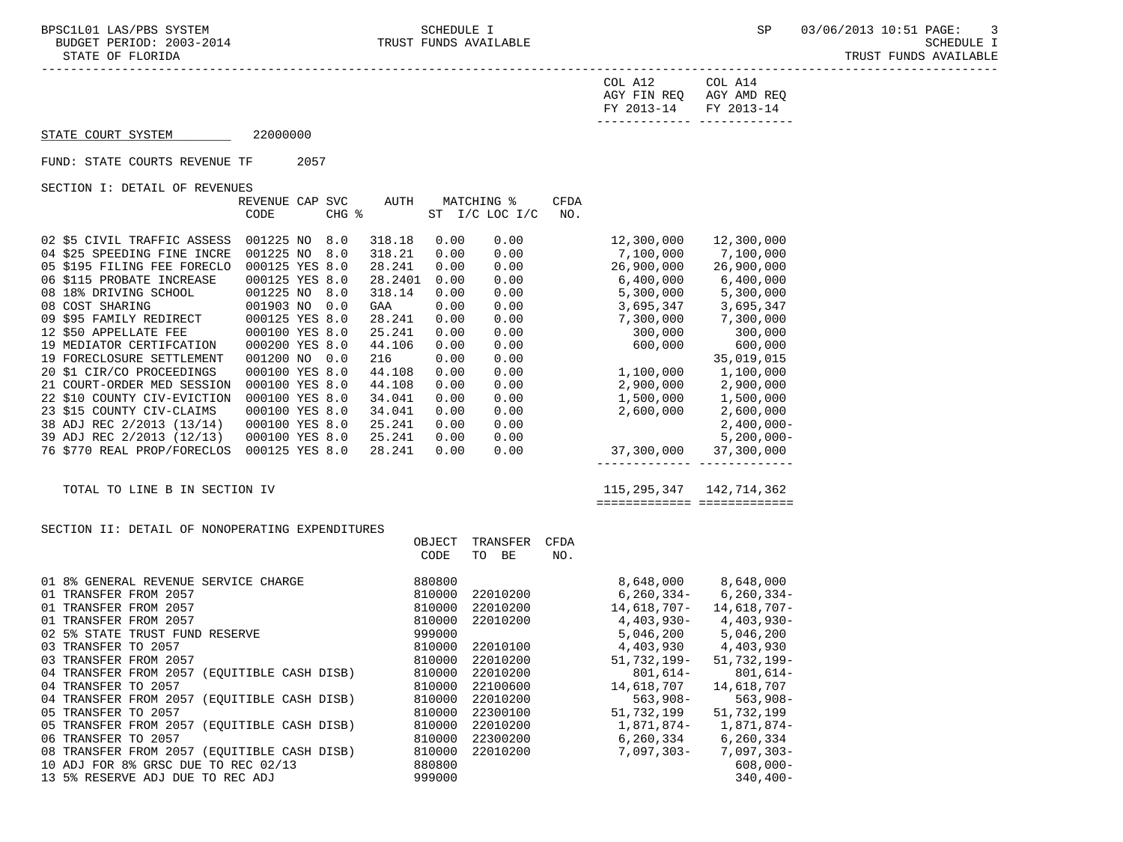-----------------------------------------------------------------------------------------------------------------------------------

STATE OF FLORIDA AND INTERNATIONAL STATE OF FUNDS AVAILABLE

| COL A12               | COL A14                 |
|-----------------------|-------------------------|
|                       | AGY FIN REQ AGY AMD REQ |
| FY 2013-14 FY 2013-14 |                         |
|                       |                         |

## STATE COURT SYSTEM 22000000

FUND: STATE COURTS REVENUE TF 2057

SECTION I: DETAIL OF REVENUES

|                             | REVENUE CAP    | <b>SVC</b> | <b>AUTH</b> |      | MATCHING %      | <b>CFDA</b> |            |               |
|-----------------------------|----------------|------------|-------------|------|-----------------|-------------|------------|---------------|
|                             | CODE           | CHG %      |             | ST   | $I/C$ LOC $I/C$ | NO.         |            |               |
|                             |                |            |             |      |                 |             |            |               |
| 02 \$5 CIVIL TRAFFIC ASSESS | 001225 NO      | 8.0        | 318.18      | 0.00 | 0.00            |             | 12,300,000 | 12,300,000    |
| 04 \$25 SPEEDING FINE INCRE | 001225 NO      | 8.0        | 318.21      | 0.00 | 0.00            |             | 7,100,000  | 7,100,000     |
| 05 \$195 FILING FEE FORECLO | 000125 YES 8.0 |            | 28.241      | 0.00 | 0.00            |             | 26,900,000 | 26,900,000    |
| 06 \$115 PROBATE INCREASE   | 000125 YES 8.0 |            | 28.2401     | 0.00 | 0.00            |             | 6,400,000  | 6,400,000     |
| 08 18% DRIVING SCHOOL       | 001225 NO      | 8.0        | 318.14      | 0.00 | 0.00            |             | 5,300,000  | 5,300,000     |
| 08 COST SHARING             | 001903 NO      | 0.0        | GAA         | 0.00 | 0.00            |             | 3,695,347  | 3,695,347     |
| 09 \$95 FAMILY REDIRECT     | 000125 YES 8.0 |            | 28.241      | 0.00 | 0.00            |             | 7,300,000  | 7,300,000     |
| 12 \$50 APPELLATE FEE       | 000100 YES 8.0 |            | 25.241      | 0.00 | 0.00            |             | 300,000    | 300,000       |
| 19 MEDIATOR CERTIFCATION    | 000200 YES 8.0 |            | 44.106      | 0.00 | 0.00            |             | 600,000    | 600,000       |
| 19 FORECLOSURE SETTLEMENT   | 001200 NO      | 0.0        | 216         | 0.00 | 0.00            |             |            | 35,019,015    |
| 20 \$1 CIR/CO PROCEEDINGS   | 000100 YES 8.0 |            | 44.108      | 0.00 | 0.00            |             | 1,100,000  | 1,100,000     |
| 21 COURT-ORDER MED SESSION  | 000100 YES 8.0 |            | 44.108      | 0.00 | 0.00            |             | 2,900,000  | 2,900,000     |
| 22 \$10 COUNTY CIV-EVICTION | 000100 YES 8.0 |            | 34.041      | 0.00 | 0.00            |             | 1,500,000  | 1,500,000     |
| 23 \$15 COUNTY CIV-CLAIMS   | 000100 YES 8.0 |            | 34.041      | 0.00 | 0.00            |             | 2,600,000  | 2,600,000     |
| 38 ADJ REC 2/2013 (13/14)   | 000100 YES 8.0 |            | 25.241      | 0.00 | 0.00            |             |            | $2,400,000 -$ |
| 39 ADJ REC 2/2013 (12/13)   | 000100 YES 8.0 |            | 25.241      | 0.00 | 0.00            |             |            | $5,200,000 -$ |
| 76 \$770 REAL PROP/FORECLOS | 000125 YES 8.0 |            | 28.241      | 0.00 | 0.00            |             | 37,300,000 | 37,300,000    |
|                             |                |            |             |      |                 |             |            |               |

TOTAL TO LINE B IN SECTION IV

|                                                                          | ------------- -------------<br>-------------<br>---------------                                                             |
|--------------------------------------------------------------------------|-----------------------------------------------------------------------------------------------------------------------------|
| $\mathbb{R}$<br>TOTAL<br>$\lnot$ $\lnot$<br>ON.<br>- N H.<br>N.<br>∹ н∶( | ገዐቤ<br>∡ ⊿ '<br>∡0 ک<br>$\overline{\phantom{a}}$<br>ـ ب<br>$\sim$ $\sim$<br>the contract of the contract of the contract of |

## SECTION II: DETAIL OF NONOPERATING EXPENDITURES

|                                                | OBJECT | TRANSFER | <b>CFDA</b> |                |                 |
|------------------------------------------------|--------|----------|-------------|----------------|-----------------|
|                                                | CODE   | BE<br>TO | NO.         |                |                 |
|                                                |        |          |             |                |                 |
| 01 8% GENERAL REVENUE SERVICE CHARGE           | 880800 |          |             | 8,648,000      | 8,648,000       |
| 01 TRANSFER FROM 2057                          | 810000 | 22010200 |             | $6,260,334-$   | $6, 260, 334 -$ |
| 01 TRANSFER FROM 2057                          | 810000 | 22010200 |             | 14,618,707-    | 14,618,707-     |
| 01 TRANSFER FROM 2057                          | 810000 | 22010200 |             | $4,403,930-$   | 4,403,930-      |
| 02 5% STATE TRUST FUND RESERVE                 | 999000 |          |             | 5,046,200      | 5,046,200       |
| 03 TRANSFER TO 2057                            | 810000 | 22010100 |             | 4,403,930      | 4,403,930       |
| 03 TRANSFER FROM 2057                          | 810000 | 22010200 |             | $51.732.199 -$ | $51.732.199 -$  |
| 04 TRANSFER FROM 2057<br>(EOUITIBLE CASH DISB) | 810000 | 22010200 |             | $801,614-$     | $801,614-$      |
| 04 TRANSFER TO 2057                            | 810000 | 22100600 |             | 14,618,707     | 14,618,707      |
| (EQUITIBLE CASH DISB)<br>04 TRANSFER FROM 2057 | 810000 | 22010200 |             | $563,908-$     | $563,908-$      |
| 05 TRANSFER TO 2057                            | 810000 | 22300100 |             | 51,732,199     | 51,732,199      |
| 05 TRANSFER FROM 2057<br>(EOUITIBLE CASH DISB) | 810000 | 22010200 |             | 1,871,874-     | 1,871,874-      |
| 06 TRANSFER TO 2057                            | 810000 | 22300200 |             | 6,260,334      | 6,260,334       |
| 08 TRANSFER FROM 2057<br>(EQUITIBLE CASH DISB) | 810000 | 22010200 |             | $7.097.303 -$  | $7,097,303-$    |
| 10 ADJ FOR 8% GRSC DUE TO REC 02/13            | 880800 |          |             |                | $608,000 -$     |
| 13 5% RESERVE ADJ<br>DUE TO REC ADJ            | 999000 |          |             |                | $340,400-$      |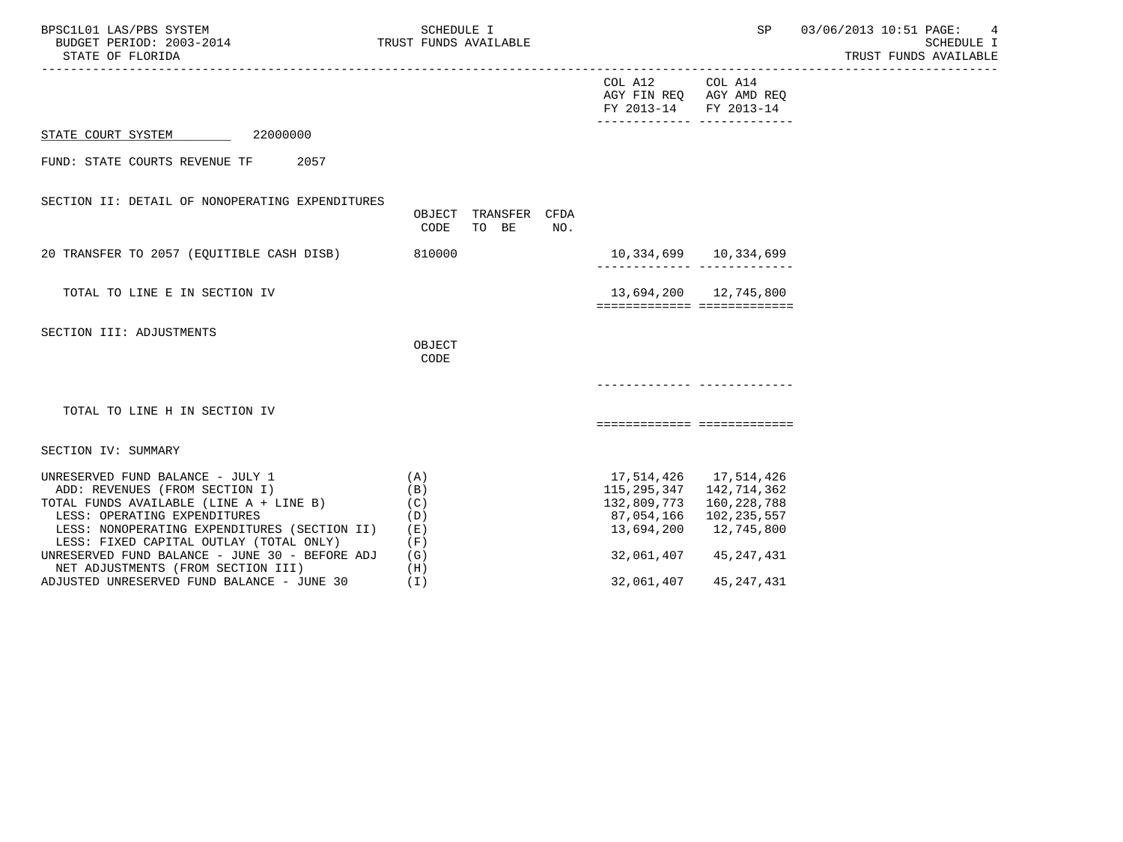| BPSC1L01 LAS/PBS SYSTEM<br>BUDGET PERIOD: 2003-2014<br>STATE OF FLORIDA<br>______________________________________                                                                                                                                                                          | SCHEDULE I<br>TRUST FUNDS AVAILABLE             |                                                     |                                                                                   | 03/06/2013 10:51 PAGE:<br>4<br>SCHEDULE I<br>TRUST FUNDS AVAILABLE |  |
|--------------------------------------------------------------------------------------------------------------------------------------------------------------------------------------------------------------------------------------------------------------------------------------------|-------------------------------------------------|-----------------------------------------------------|-----------------------------------------------------------------------------------|--------------------------------------------------------------------|--|
|                                                                                                                                                                                                                                                                                            |                                                 | COL A12 COL A14<br>FY 2013-14 FY 2013-14            | AGY FIN REQ AGY AMD REQ                                                           |                                                                    |  |
| STATE COURT SYSTEM 22000000                                                                                                                                                                                                                                                                |                                                 |                                                     |                                                                                   |                                                                    |  |
| FUND: STATE COURTS REVENUE TF 2057                                                                                                                                                                                                                                                         |                                                 |                                                     |                                                                                   |                                                                    |  |
| SECTION II: DETAIL OF NONOPERATING EXPENDITURES                                                                                                                                                                                                                                            | OBJECT TRANSFER CFDA<br>CODE<br>TO BE<br>NO.    |                                                     |                                                                                   |                                                                    |  |
| 20 TRANSFER TO 2057 (EQUITIBLE CASH DISB)                                                                                                                                                                                                                                                  | 810000                                          | 10,334,699    10,334,699                            | ________________________________                                                  |                                                                    |  |
| TOTAL TO LINE E IN SECTION IV                                                                                                                                                                                                                                                              |                                                 |                                                     | 13,694,200 12,745,800                                                             |                                                                    |  |
| SECTION III: ADJUSTMENTS                                                                                                                                                                                                                                                                   | OBJECT<br>CODE                                  |                                                     |                                                                                   |                                                                    |  |
|                                                                                                                                                                                                                                                                                            |                                                 |                                                     |                                                                                   |                                                                    |  |
| TOTAL TO LINE H IN SECTION IV                                                                                                                                                                                                                                                              |                                                 |                                                     | ===========================                                                       |                                                                    |  |
| SECTION IV: SUMMARY                                                                                                                                                                                                                                                                        |                                                 |                                                     |                                                                                   |                                                                    |  |
| UNRESERVED FUND BALANCE - JULY 1<br>ADD: REVENUES (FROM SECTION I)<br>TOTAL FUNDS AVAILABLE (LINE A + LINE B)<br>LESS: OPERATING EXPENDITURES<br>LESS: NONOPERATING EXPENDITURES (SECTION II)<br>LESS: FIXED CAPITAL OUTLAY (TOTAL ONLY)<br>UNRESERVED FUND BALANCE - JUNE 30 - BEFORE ADJ | (A)<br>(B)<br>(C)<br>(D)<br>( E )<br>(F)<br>(G) | 132,809,773 160,228,788<br>13,694,200<br>32,061,407 | 115, 295, 347 142, 714, 362<br>87,054,166 102,235,557<br>12,745,800<br>45,247,431 |                                                                    |  |
| NET ADJUSTMENTS (FROM SECTION III)<br>ADJUSTED UNRESERVED FUND BALANCE - JUNE 30                                                                                                                                                                                                           | (H)<br>(T)                                      | 32,061,407                                          | 45,247,431                                                                        |                                                                    |  |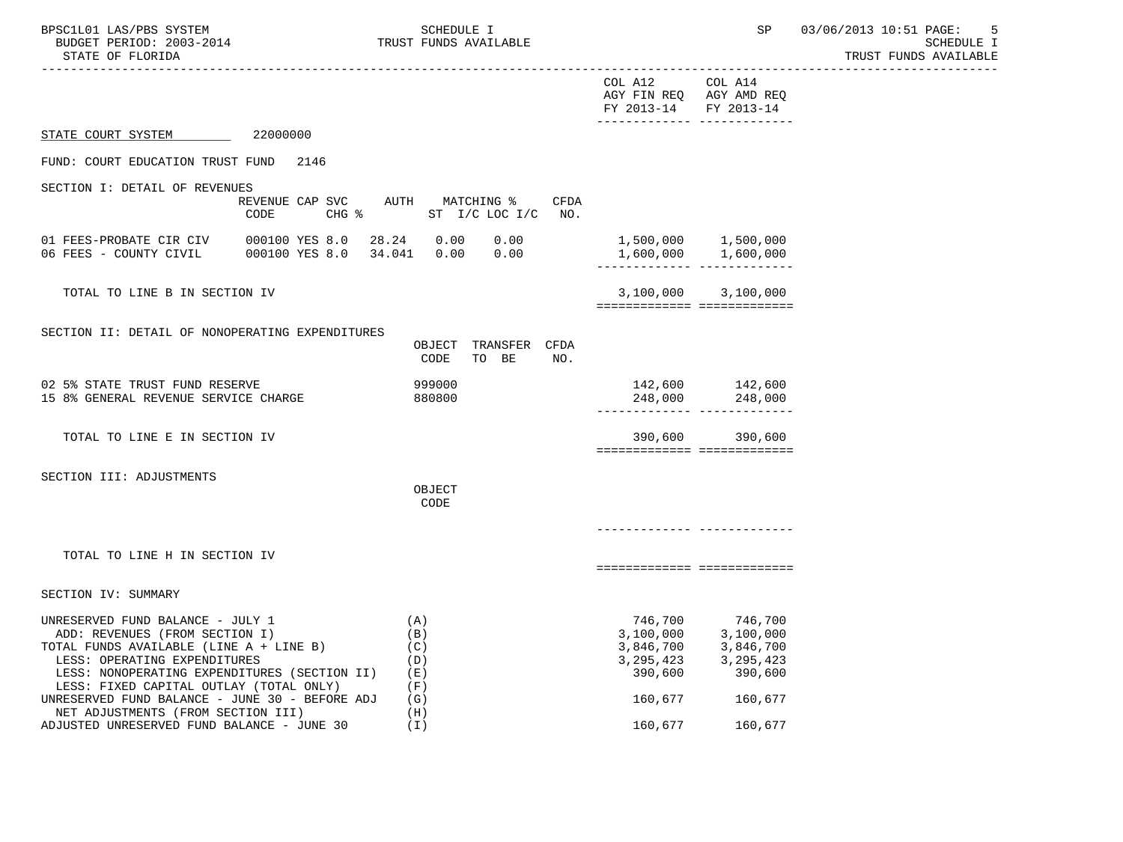| BPSC1L01 LAS/PBS SYSTEM<br>BUDGET PERIOD: 2003-2014<br>STATE OF FLORIDA                                                                                                                                                                                                                    |                                                                | SCHEDULE I<br>TRUST FUNDS AVAILABLE             |                                                             | SP                                                                              | 03/06/2013 10:51 PAGE:<br>5<br>SCHEDULE I<br>TRUST FUNDS AVAILABLE |
|--------------------------------------------------------------------------------------------------------------------------------------------------------------------------------------------------------------------------------------------------------------------------------------------|----------------------------------------------------------------|-------------------------------------------------|-------------------------------------------------------------|---------------------------------------------------------------------------------|--------------------------------------------------------------------|
|                                                                                                                                                                                                                                                                                            |                                                                |                                                 | COL A12<br>FY 2013-14                                       | COL A14<br>AGY FIN REQ AGY AMD REQ<br>FY 2013-14<br>______________ ____________ |                                                                    |
| STATE COURT SYSTEM                                                                                                                                                                                                                                                                         | 22000000                                                       |                                                 |                                                             |                                                                                 |                                                                    |
| FUND: COURT EDUCATION TRUST FUND                                                                                                                                                                                                                                                           | 2146                                                           |                                                 |                                                             |                                                                                 |                                                                    |
| SECTION I: DETAIL OF REVENUES                                                                                                                                                                                                                                                              |                                                                |                                                 |                                                             |                                                                                 |                                                                    |
|                                                                                                                                                                                                                                                                                            | REVENUE CAP SVC AUTH MATCHING %<br>CODE<br>$CHG$ $\frac{1}{6}$ | CFDA<br>ST I/C LOC I/C<br>NO.                   |                                                             |                                                                                 |                                                                    |
| 01 FEES-PROBATE CIR CIV<br>06 FEES - COUNTY CIVIL                                                                                                                                                                                                                                          | 000100 YES 8.0<br>000100 YES 8.0                               | 28.24 0.00<br>0.00<br>0.00<br>34.041 0.00       |                                                             | 1,500,000 1,500,000<br>1,600,000 1,600,000<br>-------------- -------------      |                                                                    |
| TOTAL TO LINE B IN SECTION IV                                                                                                                                                                                                                                                              |                                                                |                                                 | 3,100,000                                                   | 3,100,000<br>============================                                       |                                                                    |
| SECTION II: DETAIL OF NONOPERATING EXPENDITURES                                                                                                                                                                                                                                            |                                                                | TRANSFER CFDA<br>OBJECT<br>CODE<br>TO BE<br>NO. |                                                             |                                                                                 |                                                                    |
| 02 5% STATE TRUST FUND RESERVE<br>15 8% GENERAL REVENUE SERVICE CHARGE                                                                                                                                                                                                                     |                                                                | 999000<br>880800                                |                                                             | 142,600 142,600<br>248,000 248,000<br>------------ -------------                |                                                                    |
| TOTAL TO LINE E IN SECTION IV                                                                                                                                                                                                                                                              |                                                                |                                                 | 390,600                                                     | 390,600<br>===========================                                          |                                                                    |
| SECTION III: ADJUSTMENTS                                                                                                                                                                                                                                                                   |                                                                | OBJECT<br>CODE                                  |                                                             |                                                                                 |                                                                    |
| TOTAL TO LINE H IN SECTION IV                                                                                                                                                                                                                                                              |                                                                |                                                 |                                                             | ===========================                                                     |                                                                    |
| SECTION IV: SUMMARY                                                                                                                                                                                                                                                                        |                                                                |                                                 |                                                             |                                                                                 |                                                                    |
| UNRESERVED FUND BALANCE - JULY 1<br>ADD: REVENUES (FROM SECTION I)<br>TOTAL FUNDS AVAILABLE (LINE A + LINE B)<br>LESS: OPERATING EXPENDITURES<br>LESS: NONOPERATING EXPENDITURES (SECTION II)<br>LESS: FIXED CAPITAL OUTLAY (TOTAL ONLY)<br>UNRESERVED FUND BALANCE - JUNE 30 - BEFORE ADJ |                                                                | (A)<br>(B)<br>(C)<br>(D)<br>(E)<br>(F)<br>(G)   | 3,100,000<br>3,846,700<br>3, 295, 423<br>390,600<br>160,677 | 746,700 746,700<br>3,100,000<br>3,846,700<br>3, 295, 423<br>390,600<br>160,677  |                                                                    |
| NET ADJUSTMENTS (FROM SECTION III)<br>ADJUSTED UNRESERVED FUND BALANCE - JUNE 30                                                                                                                                                                                                           |                                                                | (H)<br>(I)                                      | 160,677                                                     | 160,677                                                                         |                                                                    |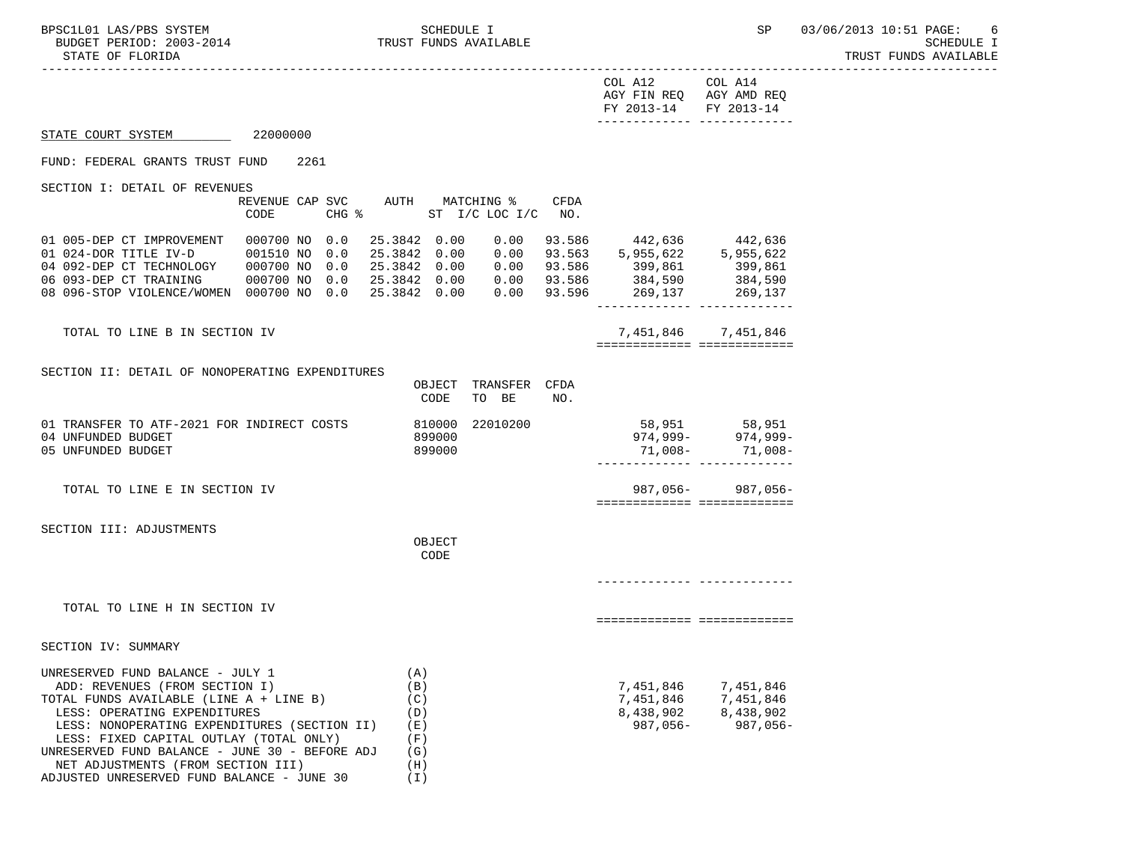-----------------------------------------------------------------------------------------------------------------------------------

| COL A12               | COL A14                 |
|-----------------------|-------------------------|
|                       | AGY FIN REQ AGY AMD REQ |
| FY 2013-14 FY 2013-14 |                         |
|                       |                         |

## STATE COURT SYSTEM 22000000

### FUND: FEDERAL GRANTS TRUST FUND 2261

SECTION I: DETAIL OF REVENUES

|                            | REVENUE CAP SVC |                     | AUTH    | MATCHING % |                | CFDA   |           |           |
|----------------------------|-----------------|---------------------|---------|------------|----------------|--------|-----------|-----------|
|                            | CODE            | $CHG$ $\frac{1}{6}$ |         |            | ST I/C LOC I/C | NO.    |           |           |
| 01 005-DEP CT IMPROVEMENT  | 000700 NO       | 0.0                 | 25.3842 | 0.00       | 0.00           | 93.586 | 442,636   | 442,636   |
| 01 024-DOR TITLE IV-D      | 001510 NO       | 0.0                 | 25.3842 | 0.00       | 0.00           | 93.563 | 5,955,622 | 5,955,622 |
| 04 092-DEP CT TECHNOLOGY   | 000700 NO       | 0.0                 | 25.3842 | 0.00       | 0.00           | 93.586 | 399,861   | 399,861   |
| 06 093-DEP CT TRAINING     | 000700 NO       | 0.0                 | 25.3842 | 0.00       | 0.00           | 93.586 | 384,590   | 384,590   |
| 08 096-STOP VIOLENCE/WOMEN | 000700 NO       | 0.0                 | 25.3842 | 0.00       | 0.00           | 93.596 | 269,137   | 269,137   |
|                            |                 |                     |         |            |                |        |           |           |

TOTAL TO LINE B IN SECTION IV 7,451,846 7,451,846 ============= =============

SECTION II: DETAIL OF NONOPERATING EXPENDITURES

|                                                                                                                                                                                                                                                                                            | OBJECT<br>CODE                                | TRANSFER<br>TO BE | <b>CFDA</b><br>NO. |                                                                   |                                                       |
|--------------------------------------------------------------------------------------------------------------------------------------------------------------------------------------------------------------------------------------------------------------------------------------------|-----------------------------------------------|-------------------|--------------------|-------------------------------------------------------------------|-------------------------------------------------------|
| 01 TRANSFER TO ATF-2021 FOR INDIRECT COSTS<br>04 UNFUNDED BUDGET<br>05 UNFUNDED BUDGET                                                                                                                                                                                                     | 810000<br>899000<br>899000                    | 22010200          |                    |                                                                   | 58,951 58,951<br>974,999- 974,999-<br>71,008- 71,008- |
| TOTAL TO LINE E IN SECTION IV                                                                                                                                                                                                                                                              |                                               |                   |                    | ========================                                          | 987,056-987,056-                                      |
| SECTION III: ADJUSTMENTS                                                                                                                                                                                                                                                                   | OBJECT<br>CODE                                |                   |                    |                                                                   |                                                       |
| TOTAL TO LINE H IN SECTION IV                                                                                                                                                                                                                                                              |                                               |                   |                    |                                                                   |                                                       |
| SECTION IV: SUMMARY                                                                                                                                                                                                                                                                        |                                               |                   |                    |                                                                   |                                                       |
| UNRESERVED FUND BALANCE - JULY 1<br>ADD: REVENUES (FROM SECTION I)<br>TOTAL FUNDS AVAILABLE (LINE A + LINE B)<br>LESS: OPERATING EXPENDITURES<br>LESS: NONOPERATING EXPENDITURES (SECTION II)<br>LESS: FIXED CAPITAL OUTLAY (TOTAL ONLY)<br>UNRESERVED FUND BALANCE - JUNE 30 - BEFORE ADJ | (A)<br>(B)<br>(C)<br>(D)<br>(E)<br>(F)<br>(G) |                   |                    | 7,451,846 7,451,846<br>7,451,846 7,451,846<br>8,438,902 8,438,902 | 987,056-987,056-                                      |

 NET ADJUSTMENTS (FROM SECTION III) (H) ADJUSTED UNRESERVED FUND BALANCE - JUNE 30 (I)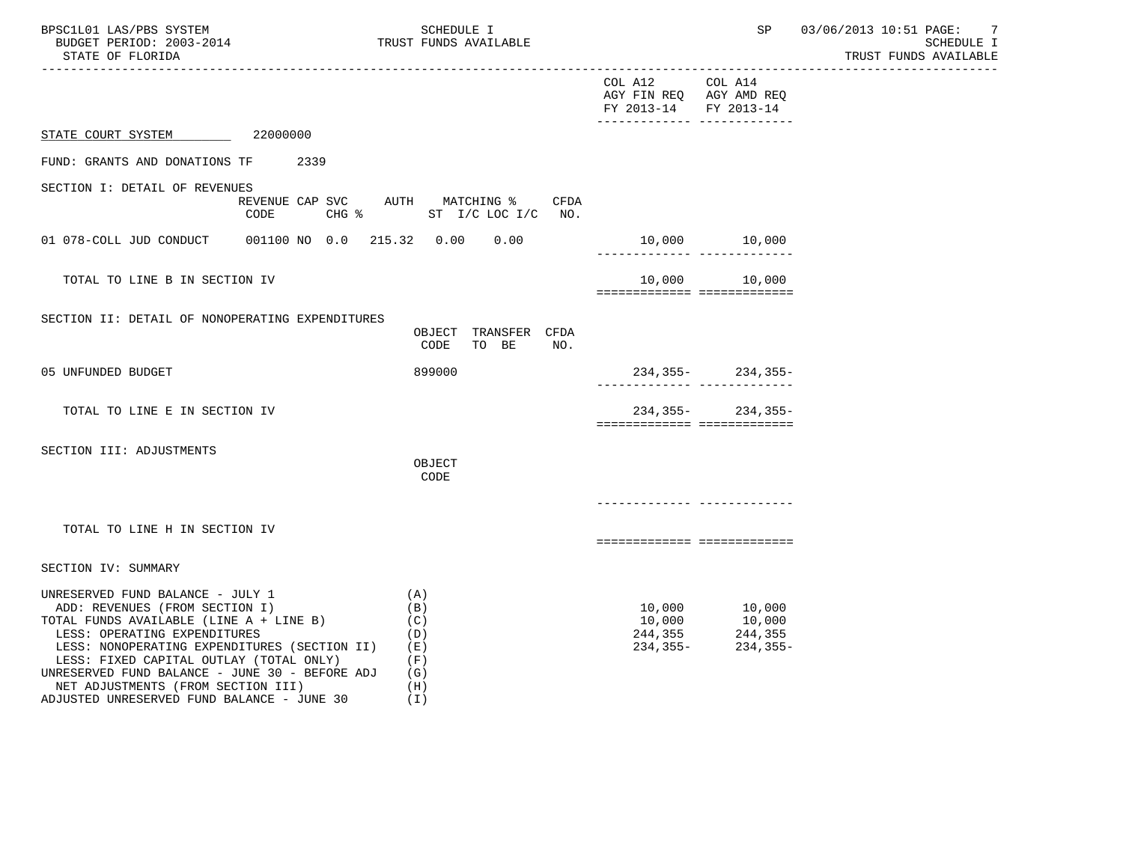| BPSC1L01 LAS/PBS SYSTEM<br>TRUST FUNDS AVAILABLE<br>BUDGET PERIOD: 2003-2014<br>STATE OF FLORIDA                                                                                                                                                                                                                                                                               | SCHEDULE I                                                  |                                          |                                                                                      | SP 03/06/2013 10:51 PAGE: 7<br>SCHEDULE I<br>TRUST FUNDS AVAILABLE |
|--------------------------------------------------------------------------------------------------------------------------------------------------------------------------------------------------------------------------------------------------------------------------------------------------------------------------------------------------------------------------------|-------------------------------------------------------------|------------------------------------------|--------------------------------------------------------------------------------------|--------------------------------------------------------------------|
|                                                                                                                                                                                                                                                                                                                                                                                |                                                             | COL A12 COL A14<br>FY 2013-14 FY 2013-14 | AGY FIN REQ AGY AMD REQ<br>_______________________________                           |                                                                    |
| STATE COURT SYSTEM 22000000                                                                                                                                                                                                                                                                                                                                                    |                                                             |                                          |                                                                                      |                                                                    |
| FUND: GRANTS AND DONATIONS TF 2339                                                                                                                                                                                                                                                                                                                                             |                                                             |                                          |                                                                                      |                                                                    |
| SECTION I: DETAIL OF REVENUES<br>REVENUE CAP SVC AUTH MATCHING %<br>CODE                                                                                                                                                                                                                                                                                                       | CFDA<br>CHG $\frac{1}{2}$ ST I/C LOC I/C NO.                |                                          |                                                                                      |                                                                    |
|                                                                                                                                                                                                                                                                                                                                                                                |                                                             |                                          |                                                                                      |                                                                    |
| TOTAL TO LINE B IN SECTION IV                                                                                                                                                                                                                                                                                                                                                  |                                                             | ============================             | 10,000 10,000                                                                        |                                                                    |
| SECTION II: DETAIL OF NONOPERATING EXPENDITURES                                                                                                                                                                                                                                                                                                                                | OBJECT TRANSFER CFDA<br>CODE TO BE<br>NO.                   |                                          |                                                                                      |                                                                    |
| 05 UNFUNDED BUDGET                                                                                                                                                                                                                                                                                                                                                             | 899000                                                      |                                          | $234, 355 - 234, 355 -$                                                              |                                                                    |
| TOTAL TO LINE E IN SECTION IV                                                                                                                                                                                                                                                                                                                                                  |                                                             | ============================             | $234, 355 - 234, 355 -$                                                              |                                                                    |
| SECTION III: ADJUSTMENTS                                                                                                                                                                                                                                                                                                                                                       | OBJECT<br>CODE                                              |                                          |                                                                                      |                                                                    |
|                                                                                                                                                                                                                                                                                                                                                                                |                                                             |                                          |                                                                                      |                                                                    |
| TOTAL TO LINE H IN SECTION IV                                                                                                                                                                                                                                                                                                                                                  |                                                             | ===========================              |                                                                                      |                                                                    |
| SECTION IV: SUMMARY                                                                                                                                                                                                                                                                                                                                                            |                                                             |                                          |                                                                                      |                                                                    |
| UNRESERVED FUND BALANCE - JULY 1<br>ADD: REVENUES (FROM SECTION I)<br>TOTAL FUNDS AVAILABLE (LINE A + LINE B)<br>LESS: OPERATING EXPENDITURES<br>LESS: NONOPERATING EXPENDITURES (SECTION II)<br>LESS: FIXED CAPITAL OUTLAY (TOTAL ONLY)<br>UNRESERVED FUND BALANCE - JUNE 30 - BEFORE ADJ<br>NET ADJUSTMENTS (FROM SECTION III)<br>ADJUSTED UNRESERVED FUND BALANCE - JUNE 30 | (A)<br>(B)<br>(C)<br>(D)<br>(E)<br>(F)<br>(G)<br>(H)<br>(I) | 10,000<br>10,000                         | 10,000<br>10,000<br>$244, 355$<br>$234, 355$<br>$234, 355$<br>$234, 355$<br>234,355- |                                                                    |